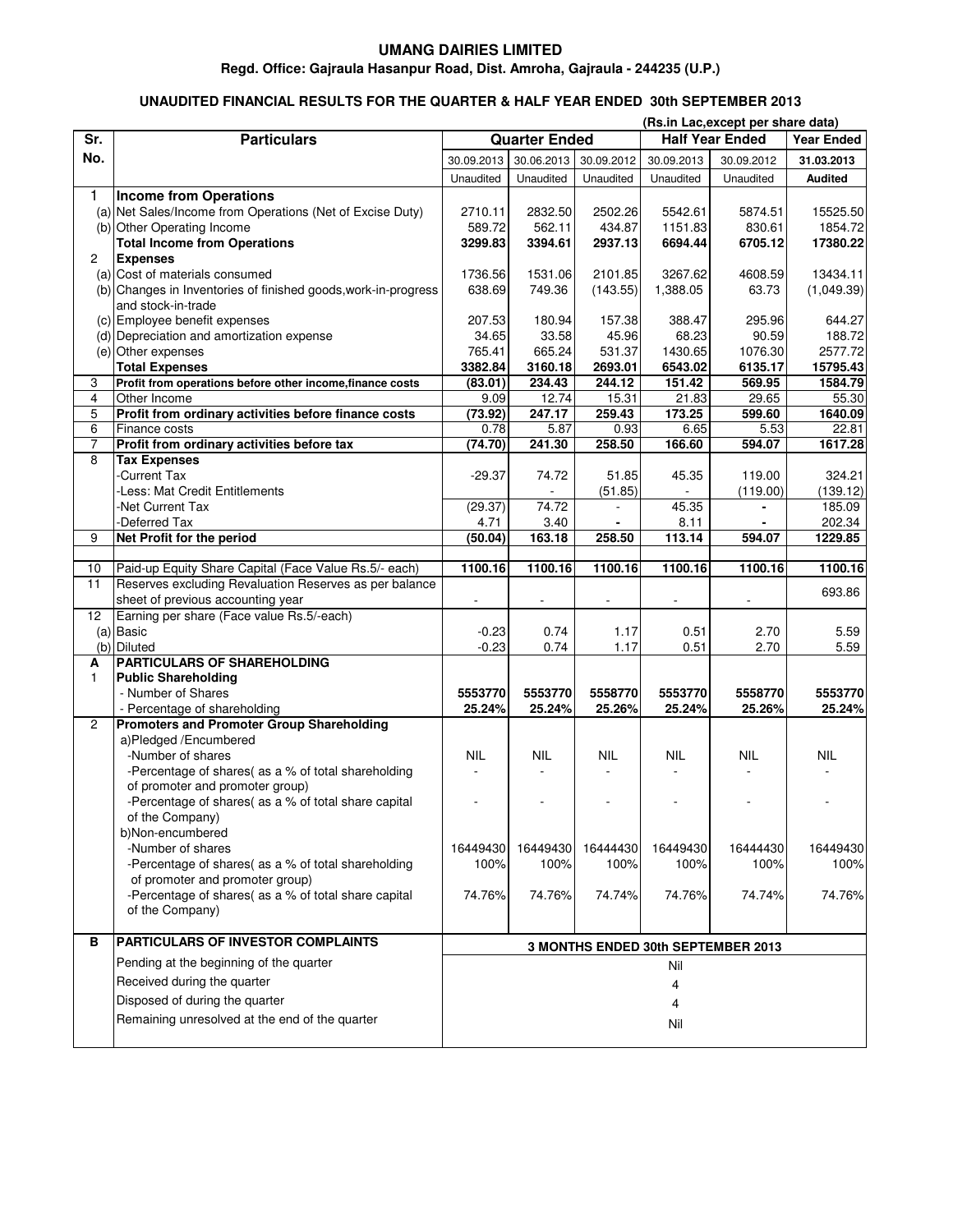## **UMANG DAIRIES LIMITED**

## **Regd. Office: Gajraula Hasanpur Road, Dist. Amroha, Gajraula - 244235 (U.P.)**

## **UNAUDITED FINANCIAL RESULTS FOR THE QUARTER & HALF YEAR ENDED 30th SEPTEMBER 2013**

| Sr.<br><b>Quarter Ended</b><br><b>Half Year Ended</b><br><b>Particulars</b><br>No.<br>30.09.2012<br>30.09.2013<br>30.06.2013<br>30.09.2013<br>30.09.2012<br>31.03.2013<br>Unaudited<br>Unaudited<br><b>Audited</b><br>Unaudited<br>Unaudited<br>Unaudited<br>1<br><b>Income from Operations</b><br>(a) Net Sales/Income from Operations (Net of Excise Duty)<br>2710.11<br>2832.50<br>2502.26<br>5542.61<br>5874.51<br>15525.50<br>(b) Other Operating Income<br>589.72<br>1854.72<br>562.11<br>434.87<br>1151.83<br>830.61<br><b>Total Income from Operations</b><br>3299.83<br>3394.61<br>2937.13<br>6694.44<br>6705.12<br>17380.22<br>2<br><b>Expenses</b><br>(a) Cost of materials consumed<br>1736.56<br>1531.06<br>2101.85<br>3267.62<br>4608.59<br>13434.11<br>(b) Changes in Inventories of finished goods, work-in-progress<br>638.69<br>749.36<br>(143.55)<br>1,388.05<br>63.73<br>(1,049.39)<br>and stock-in-trade<br>(c) Employee benefit expenses<br>207.53<br>180.94<br>157.38<br>388.47<br>295.96<br>(d) Depreciation and amortization expense<br>34.65<br>33.58<br>45.96<br>68.23<br>90.59<br>(e) Other expenses<br>765.41<br>665.24<br>531.37<br>1430.65<br>1076.30<br><b>Total Expenses</b><br>3382.84<br>3160.18<br>2693.01<br>6543.02<br>6135.17<br>Profit from operations before other income, finance costs<br>(83.01)<br>234.43<br>244.12<br>151.42<br>569.95<br>3<br>4<br>Other Income<br>9.09<br>12.74<br>15.31<br>21.83<br>29.65<br>$\overline{5}$<br>Profit from ordinary activities before finance costs<br>(73.92)<br>247.17<br>259.43<br>173.25<br>599.60<br>6<br>0.78<br>5.87<br>0.93<br>6.65<br>5.53<br>Finance costs<br>7<br>Profit from ordinary activities before tax<br>(74.70)<br>241.30<br>258.50<br>166.60<br>594.07<br>8<br><b>Tax Expenses</b><br>-Current Tax<br>$-29.37$<br>74.72<br>51.85<br>45.35<br>119.00<br>-Less: Mat Credit Entitlements<br>(51.85)<br>(119.00)<br>$\overline{\phantom{a}}$<br>74.72<br>-Net Current Tax<br>(29.37)<br>45.35<br>-<br>4.71<br>8.11<br>202.34<br><b>Deferred Tax</b><br>3.40<br>1229.85<br>9<br>Net Profit for the period<br>(50.04)<br>163.18<br>258.50<br>113.14<br>594.07<br>1100.16<br>1100.16<br>Paid-up Equity Share Capital (Face Value Rs.5/- each)<br>1100.16<br>1100.16<br>1100.16<br>1100.16<br>10<br>Reserves excluding Revaluation Reserves as per balance<br>11<br>sheet of previous accounting year<br>$\overline{\phantom{a}}$<br>÷,<br>÷,<br>÷,<br>ä,<br>Earning per share (Face value Rs.5/-each)<br>12<br>(a) Basic<br>$-0.23$<br>0.74<br>1.17<br>0.51<br>2.70<br>5.59<br>(b) Diluted<br>$-0.23$<br>1.17<br>0.51<br>2.70<br>0.74<br>5.59<br><b>PARTICULARS OF SHAREHOLDING</b><br>A<br><b>Public Shareholding</b><br>$\mathbf{1}$<br>- Number of Shares<br>5553770<br>5558770<br>5553770<br>5558770<br>5553770<br>25.24%<br>25.24%<br>25.26%<br>25.24%<br>25.26%<br>- Percentage of shareholding<br><b>Promoters and Promoter Group Shareholding</b><br>$\overline{c}$<br>a)Pledged /Encumbered<br>-Number of shares<br><b>NIL</b><br><b>NIL</b><br><b>NIL</b><br><b>NIL</b><br><b>NIL</b><br>NIL<br>-Percentage of shares( as a % of total shareholding<br>$\overline{\phantom{a}}$<br>$\overline{\phantom{a}}$<br>$\overline{\phantom{a}}$<br>$\overline{\phantom{a}}$<br>of promoter and promoter group)<br>-Percentage of shares( as a % of total share capital<br>÷<br>of the Company)<br>b)Non-encumbered<br>-Number of shares<br>16449430<br>16449430<br>16444430<br>16449430<br>16444430<br>16449430<br>-Percentage of shares( as a % of total shareholding<br>100%<br>100%<br>100%<br>100%<br>100%<br>of promoter and promoter group)<br>-Percentage of shares(as a % of total share capital<br>74.76%<br>74.76%<br>74.74%<br>74.76%<br>74.74%<br>74.76%<br>of the Company)<br>PARTICULARS OF INVESTOR COMPLAINTS<br>в<br>3 MONTHS ENDED 30th SEPTEMBER 2013<br>Pending at the beginning of the quarter<br>Nil<br>Received during the quarter<br>4<br>Disposed of during the quarter<br>4<br>Remaining unresolved at the end of the quarter<br>Nil |  |  |  |  | (Rs.in Lac, except per share data) |  |                   |  |
|----------------------------------------------------------------------------------------------------------------------------------------------------------------------------------------------------------------------------------------------------------------------------------------------------------------------------------------------------------------------------------------------------------------------------------------------------------------------------------------------------------------------------------------------------------------------------------------------------------------------------------------------------------------------------------------------------------------------------------------------------------------------------------------------------------------------------------------------------------------------------------------------------------------------------------------------------------------------------------------------------------------------------------------------------------------------------------------------------------------------------------------------------------------------------------------------------------------------------------------------------------------------------------------------------------------------------------------------------------------------------------------------------------------------------------------------------------------------------------------------------------------------------------------------------------------------------------------------------------------------------------------------------------------------------------------------------------------------------------------------------------------------------------------------------------------------------------------------------------------------------------------------------------------------------------------------------------------------------------------------------------------------------------------------------------------------------------------------------------------------------------------------------------------------------------------------------------------------------------------------------------------------------------------------------------------------------------------------------------------------------------------------------------------------------------------------------------------------------------------------------------------------------------------------------------------------------------------------------------------------------------------------------------------------------------------------------------------------------------------------------------------------------------------------------------------------------------------------------------------------------------------------------------------------------------------------------------------------------------------------------------------------------------------------------------------------------------------------------------------------------------------------------------------------------------------------------------------------------------------------------------------------------------------------------------------------------------------------------------------------------------------------------------------------------------------------------------------------------------------------------------------------------------------------------------------------------------------------------------------------------------------------------------------------------------------------------------------------------------------------------------------------------------------------------------------------------------------------------------------------------------------------------------------------------------------------------------------------------------------------------------------------------------------------------------------|--|--|--|--|------------------------------------|--|-------------------|--|
|                                                                                                                                                                                                                                                                                                                                                                                                                                                                                                                                                                                                                                                                                                                                                                                                                                                                                                                                                                                                                                                                                                                                                                                                                                                                                                                                                                                                                                                                                                                                                                                                                                                                                                                                                                                                                                                                                                                                                                                                                                                                                                                                                                                                                                                                                                                                                                                                                                                                                                                                                                                                                                                                                                                                                                                                                                                                                                                                                                                                                                                                                                                                                                                                                                                                                                                                                                                                                                                                                                                                                                                                                                                                                                                                                                                                                                                                                                                                                                                                                                                                |  |  |  |  |                                    |  | <b>Year Ended</b> |  |
|                                                                                                                                                                                                                                                                                                                                                                                                                                                                                                                                                                                                                                                                                                                                                                                                                                                                                                                                                                                                                                                                                                                                                                                                                                                                                                                                                                                                                                                                                                                                                                                                                                                                                                                                                                                                                                                                                                                                                                                                                                                                                                                                                                                                                                                                                                                                                                                                                                                                                                                                                                                                                                                                                                                                                                                                                                                                                                                                                                                                                                                                                                                                                                                                                                                                                                                                                                                                                                                                                                                                                                                                                                                                                                                                                                                                                                                                                                                                                                                                                                                                |  |  |  |  |                                    |  |                   |  |
|                                                                                                                                                                                                                                                                                                                                                                                                                                                                                                                                                                                                                                                                                                                                                                                                                                                                                                                                                                                                                                                                                                                                                                                                                                                                                                                                                                                                                                                                                                                                                                                                                                                                                                                                                                                                                                                                                                                                                                                                                                                                                                                                                                                                                                                                                                                                                                                                                                                                                                                                                                                                                                                                                                                                                                                                                                                                                                                                                                                                                                                                                                                                                                                                                                                                                                                                                                                                                                                                                                                                                                                                                                                                                                                                                                                                                                                                                                                                                                                                                                                                |  |  |  |  |                                    |  |                   |  |
|                                                                                                                                                                                                                                                                                                                                                                                                                                                                                                                                                                                                                                                                                                                                                                                                                                                                                                                                                                                                                                                                                                                                                                                                                                                                                                                                                                                                                                                                                                                                                                                                                                                                                                                                                                                                                                                                                                                                                                                                                                                                                                                                                                                                                                                                                                                                                                                                                                                                                                                                                                                                                                                                                                                                                                                                                                                                                                                                                                                                                                                                                                                                                                                                                                                                                                                                                                                                                                                                                                                                                                                                                                                                                                                                                                                                                                                                                                                                                                                                                                                                |  |  |  |  |                                    |  |                   |  |
|                                                                                                                                                                                                                                                                                                                                                                                                                                                                                                                                                                                                                                                                                                                                                                                                                                                                                                                                                                                                                                                                                                                                                                                                                                                                                                                                                                                                                                                                                                                                                                                                                                                                                                                                                                                                                                                                                                                                                                                                                                                                                                                                                                                                                                                                                                                                                                                                                                                                                                                                                                                                                                                                                                                                                                                                                                                                                                                                                                                                                                                                                                                                                                                                                                                                                                                                                                                                                                                                                                                                                                                                                                                                                                                                                                                                                                                                                                                                                                                                                                                                |  |  |  |  |                                    |  |                   |  |
|                                                                                                                                                                                                                                                                                                                                                                                                                                                                                                                                                                                                                                                                                                                                                                                                                                                                                                                                                                                                                                                                                                                                                                                                                                                                                                                                                                                                                                                                                                                                                                                                                                                                                                                                                                                                                                                                                                                                                                                                                                                                                                                                                                                                                                                                                                                                                                                                                                                                                                                                                                                                                                                                                                                                                                                                                                                                                                                                                                                                                                                                                                                                                                                                                                                                                                                                                                                                                                                                                                                                                                                                                                                                                                                                                                                                                                                                                                                                                                                                                                                                |  |  |  |  |                                    |  |                   |  |
|                                                                                                                                                                                                                                                                                                                                                                                                                                                                                                                                                                                                                                                                                                                                                                                                                                                                                                                                                                                                                                                                                                                                                                                                                                                                                                                                                                                                                                                                                                                                                                                                                                                                                                                                                                                                                                                                                                                                                                                                                                                                                                                                                                                                                                                                                                                                                                                                                                                                                                                                                                                                                                                                                                                                                                                                                                                                                                                                                                                                                                                                                                                                                                                                                                                                                                                                                                                                                                                                                                                                                                                                                                                                                                                                                                                                                                                                                                                                                                                                                                                                |  |  |  |  |                                    |  |                   |  |
|                                                                                                                                                                                                                                                                                                                                                                                                                                                                                                                                                                                                                                                                                                                                                                                                                                                                                                                                                                                                                                                                                                                                                                                                                                                                                                                                                                                                                                                                                                                                                                                                                                                                                                                                                                                                                                                                                                                                                                                                                                                                                                                                                                                                                                                                                                                                                                                                                                                                                                                                                                                                                                                                                                                                                                                                                                                                                                                                                                                                                                                                                                                                                                                                                                                                                                                                                                                                                                                                                                                                                                                                                                                                                                                                                                                                                                                                                                                                                                                                                                                                |  |  |  |  |                                    |  |                   |  |
|                                                                                                                                                                                                                                                                                                                                                                                                                                                                                                                                                                                                                                                                                                                                                                                                                                                                                                                                                                                                                                                                                                                                                                                                                                                                                                                                                                                                                                                                                                                                                                                                                                                                                                                                                                                                                                                                                                                                                                                                                                                                                                                                                                                                                                                                                                                                                                                                                                                                                                                                                                                                                                                                                                                                                                                                                                                                                                                                                                                                                                                                                                                                                                                                                                                                                                                                                                                                                                                                                                                                                                                                                                                                                                                                                                                                                                                                                                                                                                                                                                                                |  |  |  |  |                                    |  |                   |  |
|                                                                                                                                                                                                                                                                                                                                                                                                                                                                                                                                                                                                                                                                                                                                                                                                                                                                                                                                                                                                                                                                                                                                                                                                                                                                                                                                                                                                                                                                                                                                                                                                                                                                                                                                                                                                                                                                                                                                                                                                                                                                                                                                                                                                                                                                                                                                                                                                                                                                                                                                                                                                                                                                                                                                                                                                                                                                                                                                                                                                                                                                                                                                                                                                                                                                                                                                                                                                                                                                                                                                                                                                                                                                                                                                                                                                                                                                                                                                                                                                                                                                |  |  |  |  |                                    |  |                   |  |
|                                                                                                                                                                                                                                                                                                                                                                                                                                                                                                                                                                                                                                                                                                                                                                                                                                                                                                                                                                                                                                                                                                                                                                                                                                                                                                                                                                                                                                                                                                                                                                                                                                                                                                                                                                                                                                                                                                                                                                                                                                                                                                                                                                                                                                                                                                                                                                                                                                                                                                                                                                                                                                                                                                                                                                                                                                                                                                                                                                                                                                                                                                                                                                                                                                                                                                                                                                                                                                                                                                                                                                                                                                                                                                                                                                                                                                                                                                                                                                                                                                                                |  |  |  |  |                                    |  |                   |  |
|                                                                                                                                                                                                                                                                                                                                                                                                                                                                                                                                                                                                                                                                                                                                                                                                                                                                                                                                                                                                                                                                                                                                                                                                                                                                                                                                                                                                                                                                                                                                                                                                                                                                                                                                                                                                                                                                                                                                                                                                                                                                                                                                                                                                                                                                                                                                                                                                                                                                                                                                                                                                                                                                                                                                                                                                                                                                                                                                                                                                                                                                                                                                                                                                                                                                                                                                                                                                                                                                                                                                                                                                                                                                                                                                                                                                                                                                                                                                                                                                                                                                |  |  |  |  |                                    |  | 644.27            |  |
|                                                                                                                                                                                                                                                                                                                                                                                                                                                                                                                                                                                                                                                                                                                                                                                                                                                                                                                                                                                                                                                                                                                                                                                                                                                                                                                                                                                                                                                                                                                                                                                                                                                                                                                                                                                                                                                                                                                                                                                                                                                                                                                                                                                                                                                                                                                                                                                                                                                                                                                                                                                                                                                                                                                                                                                                                                                                                                                                                                                                                                                                                                                                                                                                                                                                                                                                                                                                                                                                                                                                                                                                                                                                                                                                                                                                                                                                                                                                                                                                                                                                |  |  |  |  |                                    |  | 188.72            |  |
|                                                                                                                                                                                                                                                                                                                                                                                                                                                                                                                                                                                                                                                                                                                                                                                                                                                                                                                                                                                                                                                                                                                                                                                                                                                                                                                                                                                                                                                                                                                                                                                                                                                                                                                                                                                                                                                                                                                                                                                                                                                                                                                                                                                                                                                                                                                                                                                                                                                                                                                                                                                                                                                                                                                                                                                                                                                                                                                                                                                                                                                                                                                                                                                                                                                                                                                                                                                                                                                                                                                                                                                                                                                                                                                                                                                                                                                                                                                                                                                                                                                                |  |  |  |  |                                    |  | 2577.72           |  |
|                                                                                                                                                                                                                                                                                                                                                                                                                                                                                                                                                                                                                                                                                                                                                                                                                                                                                                                                                                                                                                                                                                                                                                                                                                                                                                                                                                                                                                                                                                                                                                                                                                                                                                                                                                                                                                                                                                                                                                                                                                                                                                                                                                                                                                                                                                                                                                                                                                                                                                                                                                                                                                                                                                                                                                                                                                                                                                                                                                                                                                                                                                                                                                                                                                                                                                                                                                                                                                                                                                                                                                                                                                                                                                                                                                                                                                                                                                                                                                                                                                                                |  |  |  |  |                                    |  | 15795.43          |  |
|                                                                                                                                                                                                                                                                                                                                                                                                                                                                                                                                                                                                                                                                                                                                                                                                                                                                                                                                                                                                                                                                                                                                                                                                                                                                                                                                                                                                                                                                                                                                                                                                                                                                                                                                                                                                                                                                                                                                                                                                                                                                                                                                                                                                                                                                                                                                                                                                                                                                                                                                                                                                                                                                                                                                                                                                                                                                                                                                                                                                                                                                                                                                                                                                                                                                                                                                                                                                                                                                                                                                                                                                                                                                                                                                                                                                                                                                                                                                                                                                                                                                |  |  |  |  |                                    |  | 1584.79           |  |
|                                                                                                                                                                                                                                                                                                                                                                                                                                                                                                                                                                                                                                                                                                                                                                                                                                                                                                                                                                                                                                                                                                                                                                                                                                                                                                                                                                                                                                                                                                                                                                                                                                                                                                                                                                                                                                                                                                                                                                                                                                                                                                                                                                                                                                                                                                                                                                                                                                                                                                                                                                                                                                                                                                                                                                                                                                                                                                                                                                                                                                                                                                                                                                                                                                                                                                                                                                                                                                                                                                                                                                                                                                                                                                                                                                                                                                                                                                                                                                                                                                                                |  |  |  |  |                                    |  | 55.30             |  |
|                                                                                                                                                                                                                                                                                                                                                                                                                                                                                                                                                                                                                                                                                                                                                                                                                                                                                                                                                                                                                                                                                                                                                                                                                                                                                                                                                                                                                                                                                                                                                                                                                                                                                                                                                                                                                                                                                                                                                                                                                                                                                                                                                                                                                                                                                                                                                                                                                                                                                                                                                                                                                                                                                                                                                                                                                                                                                                                                                                                                                                                                                                                                                                                                                                                                                                                                                                                                                                                                                                                                                                                                                                                                                                                                                                                                                                                                                                                                                                                                                                                                |  |  |  |  |                                    |  | 1640.09           |  |
|                                                                                                                                                                                                                                                                                                                                                                                                                                                                                                                                                                                                                                                                                                                                                                                                                                                                                                                                                                                                                                                                                                                                                                                                                                                                                                                                                                                                                                                                                                                                                                                                                                                                                                                                                                                                                                                                                                                                                                                                                                                                                                                                                                                                                                                                                                                                                                                                                                                                                                                                                                                                                                                                                                                                                                                                                                                                                                                                                                                                                                                                                                                                                                                                                                                                                                                                                                                                                                                                                                                                                                                                                                                                                                                                                                                                                                                                                                                                                                                                                                                                |  |  |  |  |                                    |  | 22.81             |  |
|                                                                                                                                                                                                                                                                                                                                                                                                                                                                                                                                                                                                                                                                                                                                                                                                                                                                                                                                                                                                                                                                                                                                                                                                                                                                                                                                                                                                                                                                                                                                                                                                                                                                                                                                                                                                                                                                                                                                                                                                                                                                                                                                                                                                                                                                                                                                                                                                                                                                                                                                                                                                                                                                                                                                                                                                                                                                                                                                                                                                                                                                                                                                                                                                                                                                                                                                                                                                                                                                                                                                                                                                                                                                                                                                                                                                                                                                                                                                                                                                                                                                |  |  |  |  |                                    |  | 1617.28           |  |
|                                                                                                                                                                                                                                                                                                                                                                                                                                                                                                                                                                                                                                                                                                                                                                                                                                                                                                                                                                                                                                                                                                                                                                                                                                                                                                                                                                                                                                                                                                                                                                                                                                                                                                                                                                                                                                                                                                                                                                                                                                                                                                                                                                                                                                                                                                                                                                                                                                                                                                                                                                                                                                                                                                                                                                                                                                                                                                                                                                                                                                                                                                                                                                                                                                                                                                                                                                                                                                                                                                                                                                                                                                                                                                                                                                                                                                                                                                                                                                                                                                                                |  |  |  |  |                                    |  |                   |  |
|                                                                                                                                                                                                                                                                                                                                                                                                                                                                                                                                                                                                                                                                                                                                                                                                                                                                                                                                                                                                                                                                                                                                                                                                                                                                                                                                                                                                                                                                                                                                                                                                                                                                                                                                                                                                                                                                                                                                                                                                                                                                                                                                                                                                                                                                                                                                                                                                                                                                                                                                                                                                                                                                                                                                                                                                                                                                                                                                                                                                                                                                                                                                                                                                                                                                                                                                                                                                                                                                                                                                                                                                                                                                                                                                                                                                                                                                                                                                                                                                                                                                |  |  |  |  |                                    |  | 324.21            |  |
|                                                                                                                                                                                                                                                                                                                                                                                                                                                                                                                                                                                                                                                                                                                                                                                                                                                                                                                                                                                                                                                                                                                                                                                                                                                                                                                                                                                                                                                                                                                                                                                                                                                                                                                                                                                                                                                                                                                                                                                                                                                                                                                                                                                                                                                                                                                                                                                                                                                                                                                                                                                                                                                                                                                                                                                                                                                                                                                                                                                                                                                                                                                                                                                                                                                                                                                                                                                                                                                                                                                                                                                                                                                                                                                                                                                                                                                                                                                                                                                                                                                                |  |  |  |  |                                    |  | (139.12)          |  |
|                                                                                                                                                                                                                                                                                                                                                                                                                                                                                                                                                                                                                                                                                                                                                                                                                                                                                                                                                                                                                                                                                                                                                                                                                                                                                                                                                                                                                                                                                                                                                                                                                                                                                                                                                                                                                                                                                                                                                                                                                                                                                                                                                                                                                                                                                                                                                                                                                                                                                                                                                                                                                                                                                                                                                                                                                                                                                                                                                                                                                                                                                                                                                                                                                                                                                                                                                                                                                                                                                                                                                                                                                                                                                                                                                                                                                                                                                                                                                                                                                                                                |  |  |  |  |                                    |  | 185.09            |  |
|                                                                                                                                                                                                                                                                                                                                                                                                                                                                                                                                                                                                                                                                                                                                                                                                                                                                                                                                                                                                                                                                                                                                                                                                                                                                                                                                                                                                                                                                                                                                                                                                                                                                                                                                                                                                                                                                                                                                                                                                                                                                                                                                                                                                                                                                                                                                                                                                                                                                                                                                                                                                                                                                                                                                                                                                                                                                                                                                                                                                                                                                                                                                                                                                                                                                                                                                                                                                                                                                                                                                                                                                                                                                                                                                                                                                                                                                                                                                                                                                                                                                |  |  |  |  |                                    |  |                   |  |
|                                                                                                                                                                                                                                                                                                                                                                                                                                                                                                                                                                                                                                                                                                                                                                                                                                                                                                                                                                                                                                                                                                                                                                                                                                                                                                                                                                                                                                                                                                                                                                                                                                                                                                                                                                                                                                                                                                                                                                                                                                                                                                                                                                                                                                                                                                                                                                                                                                                                                                                                                                                                                                                                                                                                                                                                                                                                                                                                                                                                                                                                                                                                                                                                                                                                                                                                                                                                                                                                                                                                                                                                                                                                                                                                                                                                                                                                                                                                                                                                                                                                |  |  |  |  |                                    |  |                   |  |
|                                                                                                                                                                                                                                                                                                                                                                                                                                                                                                                                                                                                                                                                                                                                                                                                                                                                                                                                                                                                                                                                                                                                                                                                                                                                                                                                                                                                                                                                                                                                                                                                                                                                                                                                                                                                                                                                                                                                                                                                                                                                                                                                                                                                                                                                                                                                                                                                                                                                                                                                                                                                                                                                                                                                                                                                                                                                                                                                                                                                                                                                                                                                                                                                                                                                                                                                                                                                                                                                                                                                                                                                                                                                                                                                                                                                                                                                                                                                                                                                                                                                |  |  |  |  |                                    |  |                   |  |
|                                                                                                                                                                                                                                                                                                                                                                                                                                                                                                                                                                                                                                                                                                                                                                                                                                                                                                                                                                                                                                                                                                                                                                                                                                                                                                                                                                                                                                                                                                                                                                                                                                                                                                                                                                                                                                                                                                                                                                                                                                                                                                                                                                                                                                                                                                                                                                                                                                                                                                                                                                                                                                                                                                                                                                                                                                                                                                                                                                                                                                                                                                                                                                                                                                                                                                                                                                                                                                                                                                                                                                                                                                                                                                                                                                                                                                                                                                                                                                                                                                                                |  |  |  |  |                                    |  |                   |  |
|                                                                                                                                                                                                                                                                                                                                                                                                                                                                                                                                                                                                                                                                                                                                                                                                                                                                                                                                                                                                                                                                                                                                                                                                                                                                                                                                                                                                                                                                                                                                                                                                                                                                                                                                                                                                                                                                                                                                                                                                                                                                                                                                                                                                                                                                                                                                                                                                                                                                                                                                                                                                                                                                                                                                                                                                                                                                                                                                                                                                                                                                                                                                                                                                                                                                                                                                                                                                                                                                                                                                                                                                                                                                                                                                                                                                                                                                                                                                                                                                                                                                |  |  |  |  |                                    |  | 693.86            |  |
|                                                                                                                                                                                                                                                                                                                                                                                                                                                                                                                                                                                                                                                                                                                                                                                                                                                                                                                                                                                                                                                                                                                                                                                                                                                                                                                                                                                                                                                                                                                                                                                                                                                                                                                                                                                                                                                                                                                                                                                                                                                                                                                                                                                                                                                                                                                                                                                                                                                                                                                                                                                                                                                                                                                                                                                                                                                                                                                                                                                                                                                                                                                                                                                                                                                                                                                                                                                                                                                                                                                                                                                                                                                                                                                                                                                                                                                                                                                                                                                                                                                                |  |  |  |  |                                    |  |                   |  |
|                                                                                                                                                                                                                                                                                                                                                                                                                                                                                                                                                                                                                                                                                                                                                                                                                                                                                                                                                                                                                                                                                                                                                                                                                                                                                                                                                                                                                                                                                                                                                                                                                                                                                                                                                                                                                                                                                                                                                                                                                                                                                                                                                                                                                                                                                                                                                                                                                                                                                                                                                                                                                                                                                                                                                                                                                                                                                                                                                                                                                                                                                                                                                                                                                                                                                                                                                                                                                                                                                                                                                                                                                                                                                                                                                                                                                                                                                                                                                                                                                                                                |  |  |  |  |                                    |  |                   |  |
|                                                                                                                                                                                                                                                                                                                                                                                                                                                                                                                                                                                                                                                                                                                                                                                                                                                                                                                                                                                                                                                                                                                                                                                                                                                                                                                                                                                                                                                                                                                                                                                                                                                                                                                                                                                                                                                                                                                                                                                                                                                                                                                                                                                                                                                                                                                                                                                                                                                                                                                                                                                                                                                                                                                                                                                                                                                                                                                                                                                                                                                                                                                                                                                                                                                                                                                                                                                                                                                                                                                                                                                                                                                                                                                                                                                                                                                                                                                                                                                                                                                                |  |  |  |  |                                    |  |                   |  |
|                                                                                                                                                                                                                                                                                                                                                                                                                                                                                                                                                                                                                                                                                                                                                                                                                                                                                                                                                                                                                                                                                                                                                                                                                                                                                                                                                                                                                                                                                                                                                                                                                                                                                                                                                                                                                                                                                                                                                                                                                                                                                                                                                                                                                                                                                                                                                                                                                                                                                                                                                                                                                                                                                                                                                                                                                                                                                                                                                                                                                                                                                                                                                                                                                                                                                                                                                                                                                                                                                                                                                                                                                                                                                                                                                                                                                                                                                                                                                                                                                                                                |  |  |  |  |                                    |  |                   |  |
|                                                                                                                                                                                                                                                                                                                                                                                                                                                                                                                                                                                                                                                                                                                                                                                                                                                                                                                                                                                                                                                                                                                                                                                                                                                                                                                                                                                                                                                                                                                                                                                                                                                                                                                                                                                                                                                                                                                                                                                                                                                                                                                                                                                                                                                                                                                                                                                                                                                                                                                                                                                                                                                                                                                                                                                                                                                                                                                                                                                                                                                                                                                                                                                                                                                                                                                                                                                                                                                                                                                                                                                                                                                                                                                                                                                                                                                                                                                                                                                                                                                                |  |  |  |  |                                    |  |                   |  |
|                                                                                                                                                                                                                                                                                                                                                                                                                                                                                                                                                                                                                                                                                                                                                                                                                                                                                                                                                                                                                                                                                                                                                                                                                                                                                                                                                                                                                                                                                                                                                                                                                                                                                                                                                                                                                                                                                                                                                                                                                                                                                                                                                                                                                                                                                                                                                                                                                                                                                                                                                                                                                                                                                                                                                                                                                                                                                                                                                                                                                                                                                                                                                                                                                                                                                                                                                                                                                                                                                                                                                                                                                                                                                                                                                                                                                                                                                                                                                                                                                                                                |  |  |  |  |                                    |  | 5553770           |  |
|                                                                                                                                                                                                                                                                                                                                                                                                                                                                                                                                                                                                                                                                                                                                                                                                                                                                                                                                                                                                                                                                                                                                                                                                                                                                                                                                                                                                                                                                                                                                                                                                                                                                                                                                                                                                                                                                                                                                                                                                                                                                                                                                                                                                                                                                                                                                                                                                                                                                                                                                                                                                                                                                                                                                                                                                                                                                                                                                                                                                                                                                                                                                                                                                                                                                                                                                                                                                                                                                                                                                                                                                                                                                                                                                                                                                                                                                                                                                                                                                                                                                |  |  |  |  |                                    |  | 25.24%            |  |
|                                                                                                                                                                                                                                                                                                                                                                                                                                                                                                                                                                                                                                                                                                                                                                                                                                                                                                                                                                                                                                                                                                                                                                                                                                                                                                                                                                                                                                                                                                                                                                                                                                                                                                                                                                                                                                                                                                                                                                                                                                                                                                                                                                                                                                                                                                                                                                                                                                                                                                                                                                                                                                                                                                                                                                                                                                                                                                                                                                                                                                                                                                                                                                                                                                                                                                                                                                                                                                                                                                                                                                                                                                                                                                                                                                                                                                                                                                                                                                                                                                                                |  |  |  |  |                                    |  |                   |  |
|                                                                                                                                                                                                                                                                                                                                                                                                                                                                                                                                                                                                                                                                                                                                                                                                                                                                                                                                                                                                                                                                                                                                                                                                                                                                                                                                                                                                                                                                                                                                                                                                                                                                                                                                                                                                                                                                                                                                                                                                                                                                                                                                                                                                                                                                                                                                                                                                                                                                                                                                                                                                                                                                                                                                                                                                                                                                                                                                                                                                                                                                                                                                                                                                                                                                                                                                                                                                                                                                                                                                                                                                                                                                                                                                                                                                                                                                                                                                                                                                                                                                |  |  |  |  |                                    |  |                   |  |
|                                                                                                                                                                                                                                                                                                                                                                                                                                                                                                                                                                                                                                                                                                                                                                                                                                                                                                                                                                                                                                                                                                                                                                                                                                                                                                                                                                                                                                                                                                                                                                                                                                                                                                                                                                                                                                                                                                                                                                                                                                                                                                                                                                                                                                                                                                                                                                                                                                                                                                                                                                                                                                                                                                                                                                                                                                                                                                                                                                                                                                                                                                                                                                                                                                                                                                                                                                                                                                                                                                                                                                                                                                                                                                                                                                                                                                                                                                                                                                                                                                                                |  |  |  |  |                                    |  |                   |  |
|                                                                                                                                                                                                                                                                                                                                                                                                                                                                                                                                                                                                                                                                                                                                                                                                                                                                                                                                                                                                                                                                                                                                                                                                                                                                                                                                                                                                                                                                                                                                                                                                                                                                                                                                                                                                                                                                                                                                                                                                                                                                                                                                                                                                                                                                                                                                                                                                                                                                                                                                                                                                                                                                                                                                                                                                                                                                                                                                                                                                                                                                                                                                                                                                                                                                                                                                                                                                                                                                                                                                                                                                                                                                                                                                                                                                                                                                                                                                                                                                                                                                |  |  |  |  |                                    |  |                   |  |
|                                                                                                                                                                                                                                                                                                                                                                                                                                                                                                                                                                                                                                                                                                                                                                                                                                                                                                                                                                                                                                                                                                                                                                                                                                                                                                                                                                                                                                                                                                                                                                                                                                                                                                                                                                                                                                                                                                                                                                                                                                                                                                                                                                                                                                                                                                                                                                                                                                                                                                                                                                                                                                                                                                                                                                                                                                                                                                                                                                                                                                                                                                                                                                                                                                                                                                                                                                                                                                                                                                                                                                                                                                                                                                                                                                                                                                                                                                                                                                                                                                                                |  |  |  |  |                                    |  |                   |  |
|                                                                                                                                                                                                                                                                                                                                                                                                                                                                                                                                                                                                                                                                                                                                                                                                                                                                                                                                                                                                                                                                                                                                                                                                                                                                                                                                                                                                                                                                                                                                                                                                                                                                                                                                                                                                                                                                                                                                                                                                                                                                                                                                                                                                                                                                                                                                                                                                                                                                                                                                                                                                                                                                                                                                                                                                                                                                                                                                                                                                                                                                                                                                                                                                                                                                                                                                                                                                                                                                                                                                                                                                                                                                                                                                                                                                                                                                                                                                                                                                                                                                |  |  |  |  |                                    |  |                   |  |
|                                                                                                                                                                                                                                                                                                                                                                                                                                                                                                                                                                                                                                                                                                                                                                                                                                                                                                                                                                                                                                                                                                                                                                                                                                                                                                                                                                                                                                                                                                                                                                                                                                                                                                                                                                                                                                                                                                                                                                                                                                                                                                                                                                                                                                                                                                                                                                                                                                                                                                                                                                                                                                                                                                                                                                                                                                                                                                                                                                                                                                                                                                                                                                                                                                                                                                                                                                                                                                                                                                                                                                                                                                                                                                                                                                                                                                                                                                                                                                                                                                                                |  |  |  |  |                                    |  |                   |  |
|                                                                                                                                                                                                                                                                                                                                                                                                                                                                                                                                                                                                                                                                                                                                                                                                                                                                                                                                                                                                                                                                                                                                                                                                                                                                                                                                                                                                                                                                                                                                                                                                                                                                                                                                                                                                                                                                                                                                                                                                                                                                                                                                                                                                                                                                                                                                                                                                                                                                                                                                                                                                                                                                                                                                                                                                                                                                                                                                                                                                                                                                                                                                                                                                                                                                                                                                                                                                                                                                                                                                                                                                                                                                                                                                                                                                                                                                                                                                                                                                                                                                |  |  |  |  |                                    |  |                   |  |
|                                                                                                                                                                                                                                                                                                                                                                                                                                                                                                                                                                                                                                                                                                                                                                                                                                                                                                                                                                                                                                                                                                                                                                                                                                                                                                                                                                                                                                                                                                                                                                                                                                                                                                                                                                                                                                                                                                                                                                                                                                                                                                                                                                                                                                                                                                                                                                                                                                                                                                                                                                                                                                                                                                                                                                                                                                                                                                                                                                                                                                                                                                                                                                                                                                                                                                                                                                                                                                                                                                                                                                                                                                                                                                                                                                                                                                                                                                                                                                                                                                                                |  |  |  |  |                                    |  |                   |  |
|                                                                                                                                                                                                                                                                                                                                                                                                                                                                                                                                                                                                                                                                                                                                                                                                                                                                                                                                                                                                                                                                                                                                                                                                                                                                                                                                                                                                                                                                                                                                                                                                                                                                                                                                                                                                                                                                                                                                                                                                                                                                                                                                                                                                                                                                                                                                                                                                                                                                                                                                                                                                                                                                                                                                                                                                                                                                                                                                                                                                                                                                                                                                                                                                                                                                                                                                                                                                                                                                                                                                                                                                                                                                                                                                                                                                                                                                                                                                                                                                                                                                |  |  |  |  |                                    |  | 100%              |  |
|                                                                                                                                                                                                                                                                                                                                                                                                                                                                                                                                                                                                                                                                                                                                                                                                                                                                                                                                                                                                                                                                                                                                                                                                                                                                                                                                                                                                                                                                                                                                                                                                                                                                                                                                                                                                                                                                                                                                                                                                                                                                                                                                                                                                                                                                                                                                                                                                                                                                                                                                                                                                                                                                                                                                                                                                                                                                                                                                                                                                                                                                                                                                                                                                                                                                                                                                                                                                                                                                                                                                                                                                                                                                                                                                                                                                                                                                                                                                                                                                                                                                |  |  |  |  |                                    |  |                   |  |
|                                                                                                                                                                                                                                                                                                                                                                                                                                                                                                                                                                                                                                                                                                                                                                                                                                                                                                                                                                                                                                                                                                                                                                                                                                                                                                                                                                                                                                                                                                                                                                                                                                                                                                                                                                                                                                                                                                                                                                                                                                                                                                                                                                                                                                                                                                                                                                                                                                                                                                                                                                                                                                                                                                                                                                                                                                                                                                                                                                                                                                                                                                                                                                                                                                                                                                                                                                                                                                                                                                                                                                                                                                                                                                                                                                                                                                                                                                                                                                                                                                                                |  |  |  |  |                                    |  |                   |  |
|                                                                                                                                                                                                                                                                                                                                                                                                                                                                                                                                                                                                                                                                                                                                                                                                                                                                                                                                                                                                                                                                                                                                                                                                                                                                                                                                                                                                                                                                                                                                                                                                                                                                                                                                                                                                                                                                                                                                                                                                                                                                                                                                                                                                                                                                                                                                                                                                                                                                                                                                                                                                                                                                                                                                                                                                                                                                                                                                                                                                                                                                                                                                                                                                                                                                                                                                                                                                                                                                                                                                                                                                                                                                                                                                                                                                                                                                                                                                                                                                                                                                |  |  |  |  |                                    |  |                   |  |
|                                                                                                                                                                                                                                                                                                                                                                                                                                                                                                                                                                                                                                                                                                                                                                                                                                                                                                                                                                                                                                                                                                                                                                                                                                                                                                                                                                                                                                                                                                                                                                                                                                                                                                                                                                                                                                                                                                                                                                                                                                                                                                                                                                                                                                                                                                                                                                                                                                                                                                                                                                                                                                                                                                                                                                                                                                                                                                                                                                                                                                                                                                                                                                                                                                                                                                                                                                                                                                                                                                                                                                                                                                                                                                                                                                                                                                                                                                                                                                                                                                                                |  |  |  |  |                                    |  |                   |  |
|                                                                                                                                                                                                                                                                                                                                                                                                                                                                                                                                                                                                                                                                                                                                                                                                                                                                                                                                                                                                                                                                                                                                                                                                                                                                                                                                                                                                                                                                                                                                                                                                                                                                                                                                                                                                                                                                                                                                                                                                                                                                                                                                                                                                                                                                                                                                                                                                                                                                                                                                                                                                                                                                                                                                                                                                                                                                                                                                                                                                                                                                                                                                                                                                                                                                                                                                                                                                                                                                                                                                                                                                                                                                                                                                                                                                                                                                                                                                                                                                                                                                |  |  |  |  |                                    |  |                   |  |
|                                                                                                                                                                                                                                                                                                                                                                                                                                                                                                                                                                                                                                                                                                                                                                                                                                                                                                                                                                                                                                                                                                                                                                                                                                                                                                                                                                                                                                                                                                                                                                                                                                                                                                                                                                                                                                                                                                                                                                                                                                                                                                                                                                                                                                                                                                                                                                                                                                                                                                                                                                                                                                                                                                                                                                                                                                                                                                                                                                                                                                                                                                                                                                                                                                                                                                                                                                                                                                                                                                                                                                                                                                                                                                                                                                                                                                                                                                                                                                                                                                                                |  |  |  |  |                                    |  |                   |  |
|                                                                                                                                                                                                                                                                                                                                                                                                                                                                                                                                                                                                                                                                                                                                                                                                                                                                                                                                                                                                                                                                                                                                                                                                                                                                                                                                                                                                                                                                                                                                                                                                                                                                                                                                                                                                                                                                                                                                                                                                                                                                                                                                                                                                                                                                                                                                                                                                                                                                                                                                                                                                                                                                                                                                                                                                                                                                                                                                                                                                                                                                                                                                                                                                                                                                                                                                                                                                                                                                                                                                                                                                                                                                                                                                                                                                                                                                                                                                                                                                                                                                |  |  |  |  |                                    |  |                   |  |
|                                                                                                                                                                                                                                                                                                                                                                                                                                                                                                                                                                                                                                                                                                                                                                                                                                                                                                                                                                                                                                                                                                                                                                                                                                                                                                                                                                                                                                                                                                                                                                                                                                                                                                                                                                                                                                                                                                                                                                                                                                                                                                                                                                                                                                                                                                                                                                                                                                                                                                                                                                                                                                                                                                                                                                                                                                                                                                                                                                                                                                                                                                                                                                                                                                                                                                                                                                                                                                                                                                                                                                                                                                                                                                                                                                                                                                                                                                                                                                                                                                                                |  |  |  |  |                                    |  |                   |  |
|                                                                                                                                                                                                                                                                                                                                                                                                                                                                                                                                                                                                                                                                                                                                                                                                                                                                                                                                                                                                                                                                                                                                                                                                                                                                                                                                                                                                                                                                                                                                                                                                                                                                                                                                                                                                                                                                                                                                                                                                                                                                                                                                                                                                                                                                                                                                                                                                                                                                                                                                                                                                                                                                                                                                                                                                                                                                                                                                                                                                                                                                                                                                                                                                                                                                                                                                                                                                                                                                                                                                                                                                                                                                                                                                                                                                                                                                                                                                                                                                                                                                |  |  |  |  |                                    |  |                   |  |
|                                                                                                                                                                                                                                                                                                                                                                                                                                                                                                                                                                                                                                                                                                                                                                                                                                                                                                                                                                                                                                                                                                                                                                                                                                                                                                                                                                                                                                                                                                                                                                                                                                                                                                                                                                                                                                                                                                                                                                                                                                                                                                                                                                                                                                                                                                                                                                                                                                                                                                                                                                                                                                                                                                                                                                                                                                                                                                                                                                                                                                                                                                                                                                                                                                                                                                                                                                                                                                                                                                                                                                                                                                                                                                                                                                                                                                                                                                                                                                                                                                                                |  |  |  |  |                                    |  |                   |  |